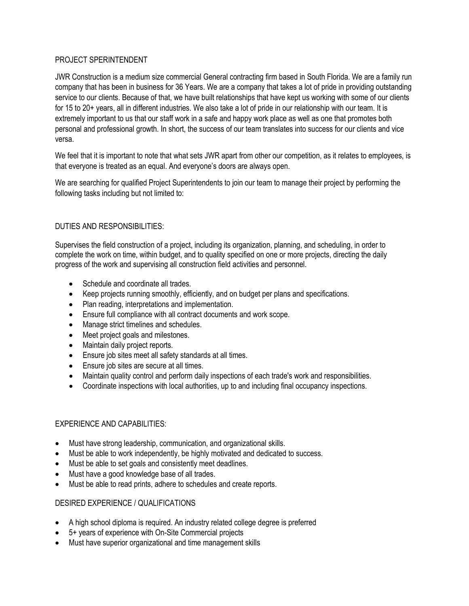## PROJECT SPERINTENDENT

JWR Construction is a medium size commercial General contracting firm based in South Florida. We are a family run company that has been in business for 36 Years. We are a company that takes a lot of pride in providing outstanding service to our clients. Because of that, we have built relationships that have kept us working with some of our clients for 15 to 20+ years, all in different industries. We also take a lot of pride in our relationship with our team. It is extremely important to us that our staff work in a safe and happy work place as well as one that promotes both personal and professional growth. In short, the success of our team translates into success for our clients and vice versa.

We feel that it is important to note that what sets JWR apart from other our competition, as it relates to employees, is that everyone is treated as an equal. And everyone's doors are always open.

We are searching for qualified Project Superintendents to join our team to manage their project by performing the following tasks including but not limited to:

## DUTIES AND RESPONSIBILITIES:

Supervises the field construction of a project, including its organization, planning, and scheduling, in order to complete the work on time, within budget, and to quality specified on one or more projects, directing the daily progress of the work and supervising all construction field activities and personnel.

- Schedule and coordinate all trades.
- Keep projects running smoothly, efficiently, and on budget per plans and specifications.
- Plan reading, interpretations and implementation.
- Ensure full compliance with all contract documents and work scope.
- Manage strict timelines and schedules.
- Meet project goals and milestones.
- Maintain daily project reports.
- Ensure job sites meet all safety standards at all times.
- Ensure job sites are secure at all times.
- Maintain quality control and perform daily inspections of each trade's work and responsibilities.
- Coordinate inspections with local authorities, up to and including final occupancy inspections.

## EXPERIENCE AND CAPABILITIES:

- Must have strong leadership, communication, and organizational skills.
- Must be able to work independently, be highly motivated and dedicated to success.
- Must be able to set goals and consistently meet deadlines.
- Must have a good knowledge base of all trades.
- Must be able to read prints, adhere to schedules and create reports.

## DESIRED EXPERIENCE / QUALIFICATIONS

- A high school diploma is required. An industry related college degree is preferred
- 5+ years of experience with On-Site Commercial projects
- Must have superior organizational and time management skills